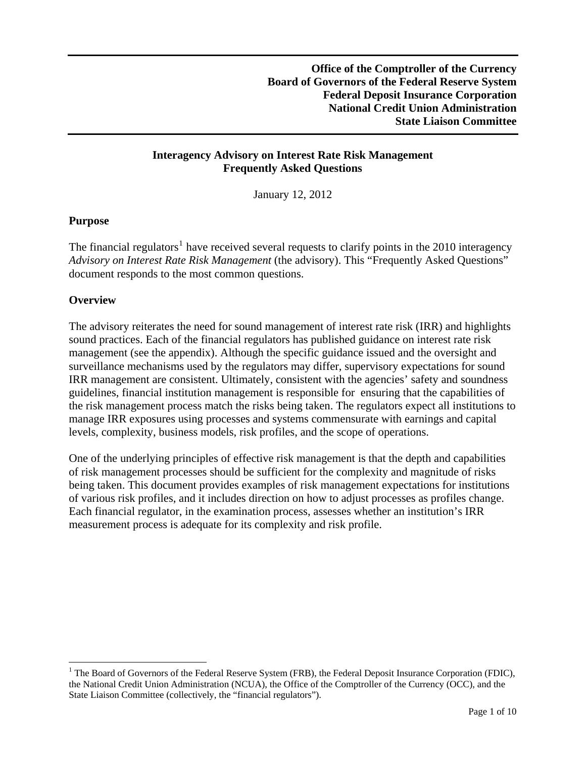# **Interagency Advisory on Interest Rate Risk Management Frequently Asked Questions**

January 12, 2012

# **Purpose**

The financial regulators<sup>[1](#page-0-0)</sup> have received several requests to clarify points in the 2010 interagency *Advisory on Interest Rate Risk Management* (the advisory). This "Frequently Asked Questions" document responds to the most common questions.

# **Overview**

 $\overline{a}$ 

The advisory reiterates the need for sound management of interest rate risk (IRR) and highlights sound practices. Each of the financial regulators has published guidance on interest rate risk management (see the appendix). Although the specific guidance issued and the oversight and surveillance mechanisms used by the regulators may differ, supervisory expectations for sound IRR management are consistent. Ultimately, consistent with the agencies' safety and soundness guidelines, financial institution management is responsible for ensuring that the capabilities of the risk management process match the risks being taken. The regulators expect all institutions to manage IRR exposures using processes and systems commensurate with earnings and capital levels, complexity, business models, risk profiles, and the scope of operations.

One of the underlying principles of effective risk management is that the depth and capabilities of risk management processes should be sufficient for the complexity and magnitude of risks being taken. This document provides examples of risk management expectations for institutions of various risk profiles, and it includes direction on how to adjust processes as profiles change. Each financial regulator, in the examination process, assesses whether an institution's IRR measurement process is adequate for its complexity and risk profile.

<span id="page-0-0"></span><sup>&</sup>lt;sup>1</sup> The Board of Governors of the Federal Reserve System (FRB), the Federal Deposit Insurance Corporation (FDIC), the National Credit Union Administration (NCUA), the Office of the Comptroller of the Currency (OCC), and the State Liaison Committee (collectively, the "financial regulators").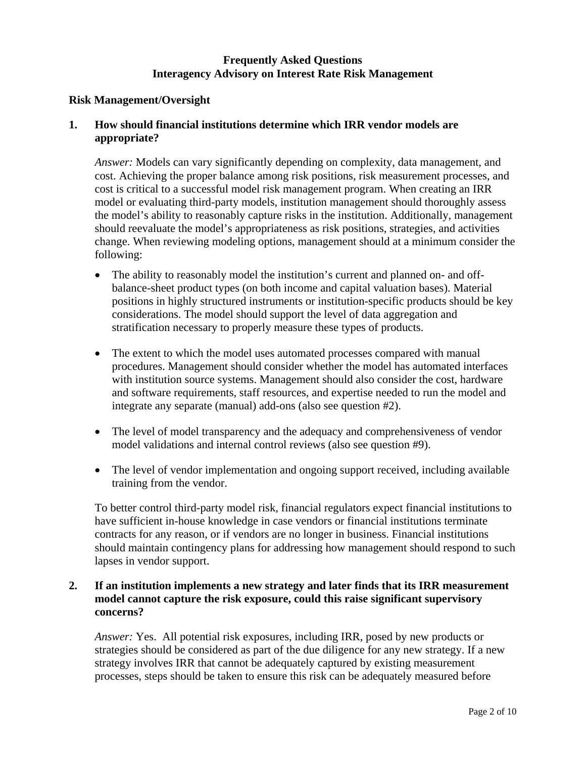# **Frequently Asked Questions Interagency Advisory on Interest Rate Risk Management**

# **Risk Management/Oversight**

### **1. How should financial institutions determine which IRR vendor models are appropriate?**

*Answer:* Models can vary significantly depending on complexity, data management, and cost. Achieving the proper balance among risk positions, risk measurement processes, and cost is critical to a successful model risk management program. When creating an IRR model or evaluating third-party models, institution management should thoroughly assess the model's ability to reasonably capture risks in the institution. Additionally, management should reevaluate the model's appropriateness as risk positions, strategies, and activities change. When reviewing modeling options, management should at a minimum consider the following:

- The ability to reasonably model the institution's current and planned on- and offbalance-sheet product types (on both income and capital valuation bases). Material positions in highly structured instruments or institution-specific products should be key considerations. The model should support the level of data aggregation and stratification necessary to properly measure these types of products.
- The extent to which the model uses automated processes compared with manual procedures. Management should consider whether the model has automated interfaces with institution source systems. Management should also consider the cost, hardware and software requirements, staff resources, and expertise needed to run the model and integrate any separate (manual) add-ons (also see question #2).
- The level of model transparency and the adequacy and comprehensiveness of vendor model validations and internal control reviews (also see question #9).
- The level of vendor implementation and ongoing support received, including available training from the vendor.

To better control third-party model risk, financial regulators expect financial institutions to have sufficient in-house knowledge in case vendors or financial institutions terminate contracts for any reason, or if vendors are no longer in business. Financial institutions should maintain contingency plans for addressing how management should respond to such lapses in vendor support.

# **2. If an institution implements a new strategy and later finds that its IRR measurement model cannot capture the risk exposure, could this raise significant supervisory concerns?**

*Answer:* Yes. All potential risk exposures, including IRR, posed by new products or strategies should be considered as part of the due diligence for any new strategy. If a new strategy involves IRR that cannot be adequately captured by existing measurement processes, steps should be taken to ensure this risk can be adequately measured before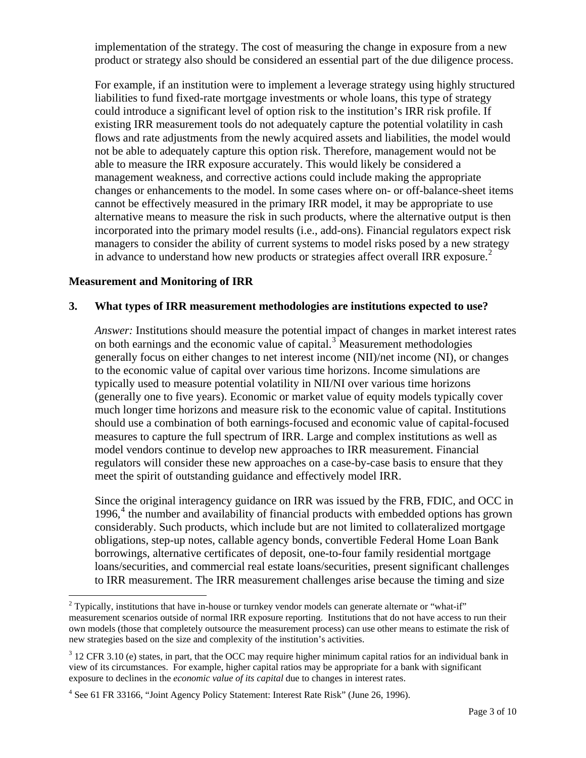implementation of the strategy. The cost of measuring the change in exposure from a new product or strategy also should be considered an essential part of the due diligence process.

For example, if an institution were to implement a leverage strategy using highly structured liabilities to fund fixed-rate mortgage investments or whole loans, this type of strategy could introduce a significant level of option risk to the institution's IRR risk profile. If existing IRR measurement tools do not adequately capture the potential volatility in cash flows and rate adjustments from the newly acquired assets and liabilities, the model would not be able to adequately capture this option risk. Therefore, management would not be able to measure the IRR exposure accurately. This would likely be considered a management weakness, and corrective actions could include making the appropriate changes or enhancements to the model. In some cases where on- or off-balance-sheet items cannot be effectively measured in the primary IRR model, it may be appropriate to use alternative means to measure the risk in such products, where the alternative output is then incorporated into the primary model results (i.e., add-ons). Financial regulators expect risk managers to consider the ability of current systems to model risks posed by a new strategy in advance to understand how new products or strategies affect overall IRR exposure.<sup>[2](#page-2-0)</sup>

### **Measurement and Monitoring of IRR**

#### **3. What types of IRR measurement methodologies are institutions expected to use?**

*Answer:* Institutions should measure the potential impact of changes in market interest rates on both earnings and the economic value of capital. $3$  Measurement methodologies generally focus on either changes to net interest income (NII)/net income (NI), or changes to the economic value of capital over various time horizons. Income simulations are typically used to measure potential volatility in NII/NI over various time horizons (generally one to five years). Economic or market value of equity models typically cover much longer time horizons and measure risk to the economic value of capital. Institutions should use a combination of both earnings-focused and economic value of capital-focused measures to capture the full spectrum of IRR. Large and complex institutions as well as model vendors continue to develop new approaches to IRR measurement. Financial regulators will consider these new approaches on a case-by-case basis to ensure that they meet the spirit of outstanding guidance and effectively model IRR.

Since the original interagency guidance on IRR was issued by the FRB, FDIC, and OCC in 1996,<sup>[4](#page-2-2)</sup> the number and availability of financial products with embedded options has grown considerably. Such products, which include but are not limited to collateralized mortgage obligations, step-up notes, callable agency bonds, convertible Federal Home Loan Bank borrowings, alternative certificates of deposit, one-to-four family residential mortgage loans/securities, and commercial real estate loans/securities, present significant challenges to IRR measurement. The IRR measurement challenges arise because the timing and size

<span id="page-2-0"></span><sup>&</sup>lt;sup>2</sup> Typically, institutions that have in-house or turnkey vendor models can generate alternate or "what-if" measurement scenarios outside of normal IRR exposure reporting. Institutions that do not have access to run their own models (those that completely outsource the measurement process) can use other means to estimate the risk of new strategies based on the size and complexity of the institution's activities.

<span id="page-2-1"></span> $3$  12 CFR 3.10 (e) states, in part, that the OCC may require higher minimum capital ratios for an individual bank in view of its circumstances. For example, higher capital ratios may be appropriate for a bank with significant exposure to declines in the *economic value of its capital* due to changes in interest rates.

<span id="page-2-2"></span><sup>&</sup>lt;sup>4</sup> See 61 FR 33166, "Joint Agency Policy Statement: Interest Rate Risk" (June 26, 1996).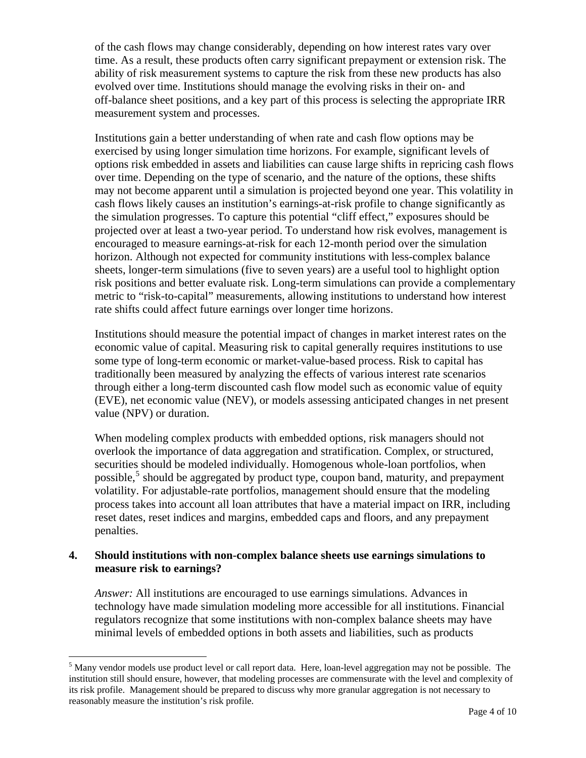of the cash flows may change considerably, depending on how interest rates vary over time. As a result, these products often carry significant prepayment or extension risk. The ability of risk measurement systems to capture the risk from these new products has also evolved over time. Institutions should manage the evolving risks in their on- and off-balance sheet positions, and a key part of this process is selecting the appropriate IRR measurement system and processes.

Institutions gain a better understanding of when rate and cash flow options may be exercised by using longer simulation time horizons. For example, significant levels of options risk embedded in assets and liabilities can cause large shifts in repricing cash flows over time. Depending on the type of scenario, and the nature of the options, these shifts may not become apparent until a simulation is projected beyond one year. This volatility in cash flows likely causes an institution's earnings-at-risk profile to change significantly as the simulation progresses. To capture this potential "cliff effect," exposures should be projected over at least a two-year period. To understand how risk evolves, management is encouraged to measure earnings-at-risk for each 12-month period over the simulation horizon. Although not expected for community institutions with less-complex balance sheets, longer-term simulations (five to seven years) are a useful tool to highlight option risk positions and better evaluate risk. Long-term simulations can provide a complementary metric to "risk-to-capital" measurements, allowing institutions to understand how interest rate shifts could affect future earnings over longer time horizons.

Institutions should measure the potential impact of changes in market interest rates on the economic value of capital. Measuring risk to capital generally requires institutions to use some type of long-term economic or market-value-based process. Risk to capital has traditionally been measured by analyzing the effects of various interest rate scenarios through either a long-term discounted cash flow model such as economic value of equity (EVE), net economic value (NEV), or models assessing anticipated changes in net present value (NPV) or duration.

When modeling complex products with embedded options, risk managers should not overlook the importance of data aggregation and stratification. Complex, or structured, securities should be modeled individually. Homogenous whole-loan portfolios, when possible,<sup>[5](#page-3-0)</sup> should be aggregated by product type, coupon band, maturity, and prepayment volatility. For adjustable-rate portfolios, management should ensure that the modeling process takes into account all loan attributes that have a material impact on IRR, including reset dates, reset indices and margins, embedded caps and floors, and any prepayment penalties.

### **4. Should institutions with non-complex balance sheets use earnings simulations to measure risk to earnings?**

 $\overline{a}$ 

*Answer:* All institutions are encouraged to use earnings simulations. Advances in technology have made simulation modeling more accessible for all institutions. Financial regulators recognize that some institutions with non-complex balance sheets may have minimal levels of embedded options in both assets and liabilities, such as products

<span id="page-3-0"></span> $<sup>5</sup>$  Many vendor models use product level or call report data. Here, loan-level aggregation may not be possible. The</sup> institution still should ensure, however, that modeling processes are commensurate with the level and complexity of its risk profile. Management should be prepared to discuss why more granular aggregation is not necessary to reasonably measure the institution's risk profile.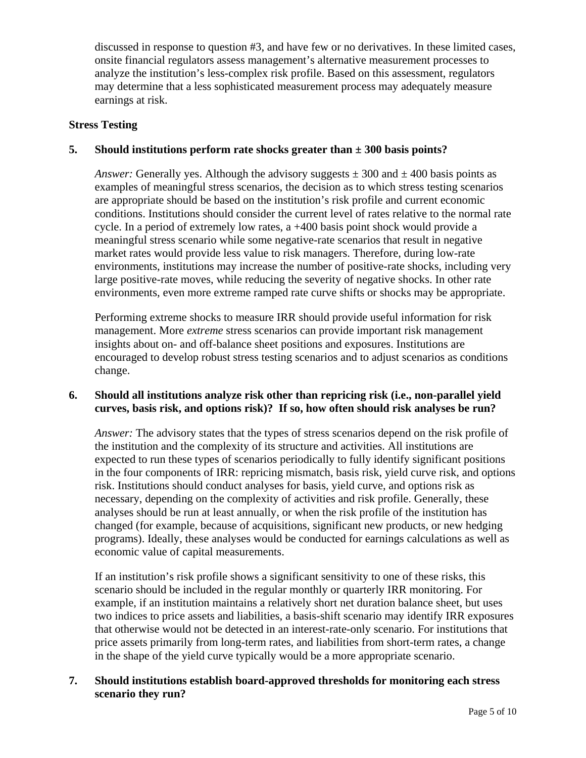discussed in response to question #3, and have few or no derivatives. In these limited cases, onsite financial regulators assess management's alternative measurement processes to analyze the institution's less-complex risk profile. Based on this assessment, regulators may determine that a less sophisticated measurement process may adequately measure earnings at risk.

#### **Stress Testing**

### **5. Should institutions perform rate shocks greater than ± 300 basis points?**

*Answer:* Generally yes. Although the advisory suggests  $\pm 300$  and  $\pm 400$  basis points as examples of meaningful stress scenarios, the decision as to which stress testing scenarios are appropriate should be based on the institution's risk profile and current economic conditions. Institutions should consider the current level of rates relative to the normal rate cycle. In a period of extremely low rates, a +400 basis point shock would provide a meaningful stress scenario while some negative-rate scenarios that result in negative market rates would provide less value to risk managers. Therefore, during low-rate environments, institutions may increase the number of positive-rate shocks, including very large positive-rate moves, while reducing the severity of negative shocks. In other rate environments, even more extreme ramped rate curve shifts or shocks may be appropriate.

Performing extreme shocks to measure IRR should provide useful information for risk management. More *extreme* stress scenarios can provide important risk management insights about on- and off-balance sheet positions and exposures. Institutions are encouraged to develop robust stress testing scenarios and to adjust scenarios as conditions change.

### **6. Should all institutions analyze risk other than repricing risk (i.e., non-parallel yield curves, basis risk, and options risk)? If so, how often should risk analyses be run?**

*Answer:* The advisory states that the types of stress scenarios depend on the risk profile of the institution and the complexity of its structure and activities. All institutions are expected to run these types of scenarios periodically to fully identify significant positions in the four components of IRR: repricing mismatch, basis risk, yield curve risk, and options risk. Institutions should conduct analyses for basis, yield curve, and options risk as necessary, depending on the complexity of activities and risk profile. Generally, these analyses should be run at least annually, or when the risk profile of the institution has changed (for example, because of acquisitions, significant new products, or new hedging programs). Ideally, these analyses would be conducted for earnings calculations as well as economic value of capital measurements.

If an institution's risk profile shows a significant sensitivity to one of these risks, this scenario should be included in the regular monthly or quarterly IRR monitoring. For example, if an institution maintains a relatively short net duration balance sheet, but uses two indices to price assets and liabilities, a basis-shift scenario may identify IRR exposures that otherwise would not be detected in an interest-rate-only scenario. For institutions that price assets primarily from long-term rates, and liabilities from short-term rates, a change in the shape of the yield curve typically would be a more appropriate scenario.

# **7. Should institutions establish board-approved thresholds for monitoring each stress scenario they run?**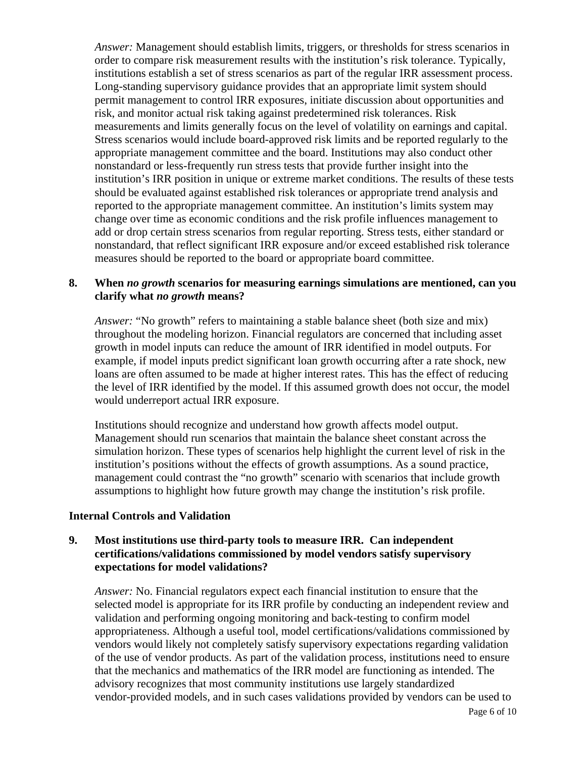*Answer:* Management should establish limits, triggers, or thresholds for stress scenarios in order to compare risk measurement results with the institution's risk tolerance. Typically, institutions establish a set of stress scenarios as part of the regular IRR assessment process. Long-standing supervisory guidance provides that an appropriate limit system should permit management to control IRR exposures, initiate discussion about opportunities and risk, and monitor actual risk taking against predetermined risk tolerances. Risk measurements and limits generally focus on the level of volatility on earnings and capital. Stress scenarios would include board-approved risk limits and be reported regularly to the appropriate management committee and the board. Institutions may also conduct other nonstandard or less-frequently run stress tests that provide further insight into the institution's IRR position in unique or extreme market conditions. The results of these tests should be evaluated against established risk tolerances or appropriate trend analysis and reported to the appropriate management committee. An institution's limits system may change over time as economic conditions and the risk profile influences management to add or drop certain stress scenarios from regular reporting. Stress tests, either standard or nonstandard, that reflect significant IRR exposure and/or exceed established risk tolerance measures should be reported to the board or appropriate board committee.

### **8. When** *no growth* **scenarios for measuring earnings simulations are mentioned, can you clarify what** *no growth* **means?**

*Answer:* "No growth" refers to maintaining a stable balance sheet (both size and mix) throughout the modeling horizon. Financial regulators are concerned that including asset growth in model inputs can reduce the amount of IRR identified in model outputs. For example, if model inputs predict significant loan growth occurring after a rate shock, new loans are often assumed to be made at higher interest rates. This has the effect of reducing the level of IRR identified by the model. If this assumed growth does not occur, the model would underreport actual IRR exposure.

Institutions should recognize and understand how growth affects model output. Management should run scenarios that maintain the balance sheet constant across the simulation horizon. These types of scenarios help highlight the current level of risk in the institution's positions without the effects of growth assumptions. As a sound practice, management could contrast the "no growth" scenario with scenarios that include growth assumptions to highlight how future growth may change the institution's risk profile.

### **Internal Controls and Validation**

# **9. Most institutions use third-party tools to measure IRR. Can independent certifications/validations commissioned by model vendors satisfy supervisory expectations for model validations?**

*Answer:* No. Financial regulators expect each financial institution to ensure that the selected model is appropriate for its IRR profile by conducting an independent review and validation and performing ongoing monitoring and back-testing to confirm model appropriateness. Although a useful tool, model certifications/validations commissioned by vendors would likely not completely satisfy supervisory expectations regarding validation of the use of vendor products. As part of the validation process, institutions need to ensure that the mechanics and mathematics of the IRR model are functioning as intended. The advisory recognizes that most community institutions use largely standardized vendor-provided models, and in such cases validations provided by vendors can be used to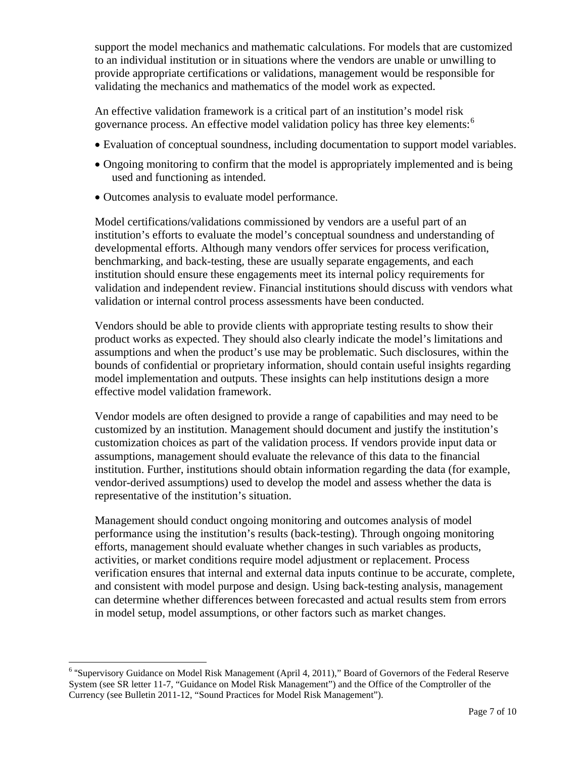support the model mechanics and mathematic calculations. For models that are customized to an individual institution or in situations where the vendors are unable or unwilling to provide appropriate certifications or validations, management would be responsible for validating the mechanics and mathematics of the model work as expected.

An effective validation framework is a critical part of an institution's model risk governance process. An effective model validation policy has three key elements:<sup>[6](#page-6-0)</sup>

- Evaluation of conceptual soundness, including documentation to support model variables.
- Ongoing monitoring to confirm that the model is appropriately implemented and is being used and functioning as intended.
- Outcomes analysis to evaluate model performance.

Model certifications/validations commissioned by vendors are a useful part of an institution's efforts to evaluate the model's conceptual soundness and understanding of developmental efforts. Although many vendors offer services for process verification, benchmarking, and back-testing, these are usually separate engagements, and each institution should ensure these engagements meet its internal policy requirements for validation and independent review. Financial institutions should discuss with vendors what validation or internal control process assessments have been conducted.

Vendors should be able to provide clients with appropriate testing results to show their product works as expected. They should also clearly indicate the model's limitations and assumptions and when the product's use may be problematic. Such disclosures, within the bounds of confidential or proprietary information, should contain useful insights regarding model implementation and outputs. These insights can help institutions design a more effective model validation framework.

Vendor models are often designed to provide a range of capabilities and may need to be customized by an institution. Management should document and justify the institution's customization choices as part of the validation process. If vendors provide input data or assumptions, management should evaluate the relevance of this data to the financial institution. Further, institutions should obtain information regarding the data (for example, vendor-derived assumptions) used to develop the model and assess whether the data is representative of the institution's situation.

Management should conduct ongoing monitoring and outcomes analysis of model performance using the institution's results (back-testing). Through ongoing monitoring efforts, management should evaluate whether changes in such variables as products, activities, or market conditions require model adjustment or replacement. Process verification ensures that internal and external data inputs continue to be accurate, complete, and consistent with model purpose and design. Using back-testing analysis, management can determine whether differences between forecasted and actual results stem from errors in model setup, model assumptions, or other factors such as market changes.

 $\overline{a}$ 

<span id="page-6-0"></span><sup>&</sup>lt;sup>6</sup> "Supervisory Guidance on Model Risk Management (April 4, 2011)," Board of Governors of the Federal Reserve System (see SR letter 11-7, "Guidance on Model Risk Management") and the Office of the Comptroller of the Currency (see Bulletin 2011-12, "Sound Practices for Model Risk Management").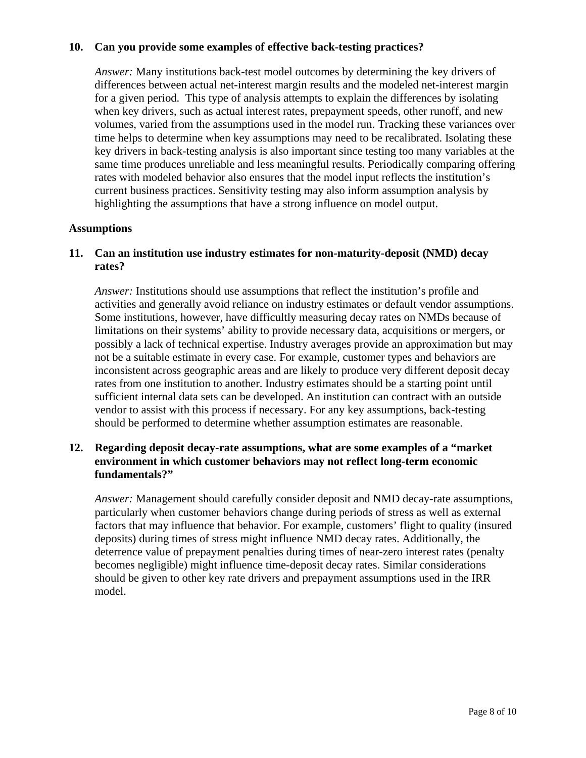# **10. Can you provide some examples of effective back-testing practices?**

*Answer:* Many institutions back-test model outcomes by determining the key drivers of differences between actual net-interest margin results and the modeled net-interest margin for a given period. This type of analysis attempts to explain the differences by isolating when key drivers, such as actual interest rates, prepayment speeds, other runoff, and new volumes, varied from the assumptions used in the model run. Tracking these variances over time helps to determine when key assumptions may need to be recalibrated. Isolating these key drivers in back-testing analysis is also important since testing too many variables at the same time produces unreliable and less meaningful results. Periodically comparing offering rates with modeled behavior also ensures that the model input reflects the institution's current business practices. Sensitivity testing may also inform assumption analysis by highlighting the assumptions that have a strong influence on model output.

### **Assumptions**

# **11. Can an institution use industry estimates for non-maturity-deposit (NMD) decay rates?**

*Answer:* Institutions should use assumptions that reflect the institution's profile and activities and generally avoid reliance on industry estimates or default vendor assumptions. Some institutions, however, have difficultly measuring decay rates on NMDs because of limitations on their systems' ability to provide necessary data, acquisitions or mergers, or possibly a lack of technical expertise. Industry averages provide an approximation but may not be a suitable estimate in every case. For example, customer types and behaviors are inconsistent across geographic areas and are likely to produce very different deposit decay rates from one institution to another. Industry estimates should be a starting point until sufficient internal data sets can be developed. An institution can contract with an outside vendor to assist with this process if necessary. For any key assumptions, back-testing should be performed to determine whether assumption estimates are reasonable.

# **12. Regarding deposit decay-rate assumptions, what are some examples of a "market environment in which customer behaviors may not reflect long-term economic fundamentals?"**

*Answer:* Management should carefully consider deposit and NMD decay-rate assumptions, particularly when customer behaviors change during periods of stress as well as external factors that may influence that behavior. For example, customers' flight to quality (insured deposits) during times of stress might influence NMD decay rates. Additionally, the deterrence value of prepayment penalties during times of near-zero interest rates (penalty becomes negligible) might influence time-deposit decay rates. Similar considerations should be given to other key rate drivers and prepayment assumptions used in the IRR model.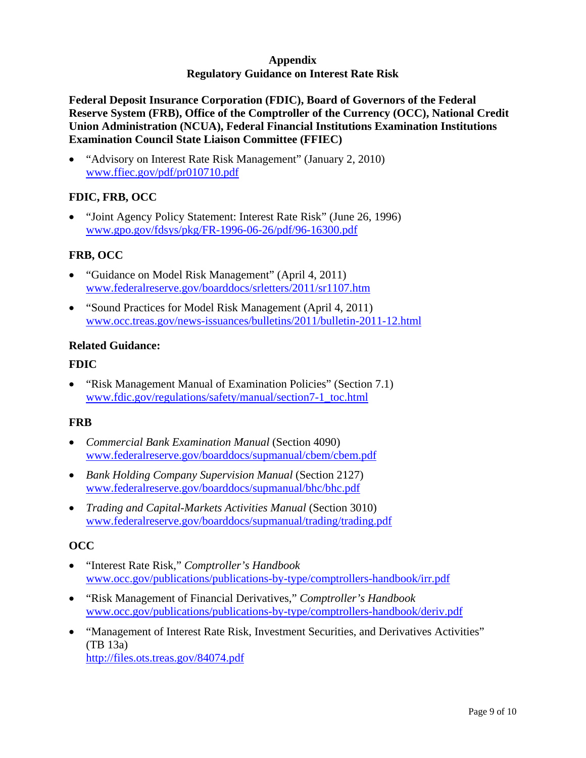# **Appendix Regulatory Guidance on Interest Rate Risk**

**Federal Deposit Insurance Corporation (FDIC), Board of Governors of the Federal Reserve System (FRB), Office of the Comptroller of the Currency (OCC), National Credit Union Administration (NCUA), Federal Financial Institutions Examination Institutions Examination Council State Liaison Committee (FFIEC)** 

• "Advisory on Interest Rate Risk Management" (January 2, 2010) [www.ffiec.gov/pdf/pr010710.pdf](http://www.ffiec.gov/pdf/pr010710.pdf)

# **FDIC, FRB, OCC**

• "Joint Agency Policy Statement: Interest Rate Risk" (June 26, 1996) [www.gpo.gov/fdsys/pkg/FR-1996-06-26/pdf/96-16300.pdf](http://www.gpo.gov/fdsys/pkg/FR-1996-06-26/pdf/96-16300.pdf)

# **FRB, OCC**

- "Guidance on Model Risk Management" (April 4, 2011) [www.federalreserve.gov/boarddocs/srletters/2011/sr1107.htm](http://www.federalreserve.gov/boarddocs/srletters/2011/sr1107.htm)
- "Sound Practices for Model Risk Management (April 4, 2011) [www.occ.treas.gov/news-issuances/bulletins/2011/bulletin-2011-12.html](http://www.occ.treas.gov/news-issuances/bulletins/2011/bulletin-2011-12.html)

### **Related Guidance:**

#### **FDIC**

• "Risk Management Manual of Examination Policies" (Section 7.1) [www.fdic.gov/regulations/safety/manual/section7-1\\_toc.html](http://www.fdic.gov/regulations/safety/manual/section7-1_toc.html)

### **FRB**

- *Commercial Bank Examination Manual* (Section 4090) [www.federalreserve.gov/boarddocs/supmanual/cbem/cbem.pdf](http://www.federalreserve.gov/boarddocs/supmanual/cbem/cbem.pdf)
- *Bank Holding Company Supervision Manual* (Section 2127) [www.federalreserve.gov/boarddocs/supmanual/bhc/bhc.pdf](http://www.federalreserve.gov/boarddocs/supmanual/bhc/bhc.pdf)
- *Trading and Capital-Markets Activities Manual* (Section 3010) [www.federalreserve.gov/boarddocs/supmanual/trading/trading.pdf](http://www.federalreserve.gov/boarddocs/supmanual/trading/trading.pdf)

### **OCC**

- "Interest Rate Risk," *Comptroller's Handbook* [www.occ.gov/publications/publications-by-type/comptrollers-handbook/irr.pdf](http://www.occ.gov/publications/publications-by-type/comptrollers-handbook/irr.pdf)
- "Risk Management of Financial Derivatives," *Comptroller's Handbook* [www.occ.gov/publications/publications-by-type/comptrollers-handbook/deriv.pdf](http://www.occ.gov/publications/publications-by-type/comptrollers-handbook/deriv.pdf)
- "Management of Interest Rate Risk, Investment Securities, and Derivatives Activities" (TB 13a) <http://files.ots.treas.gov/84074.pdf>